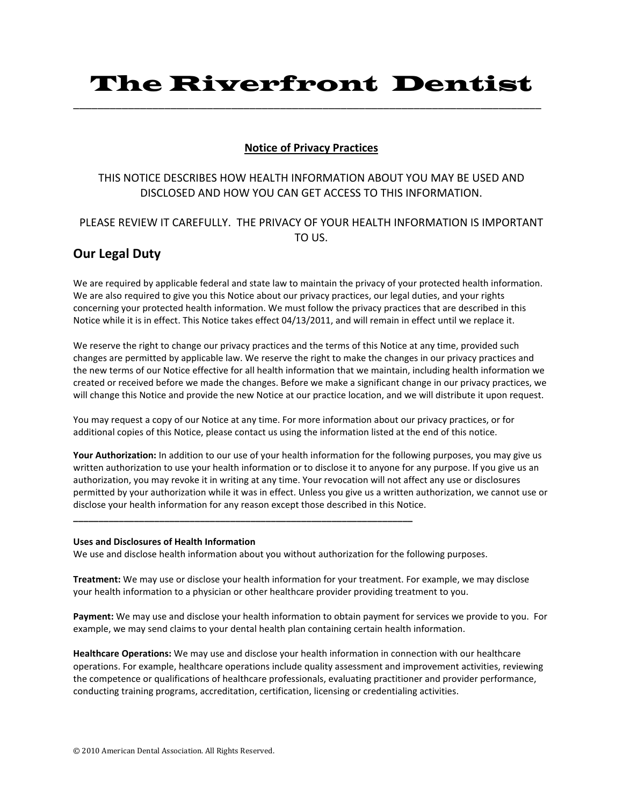# The Riverfront Dentist

\_\_\_\_\_\_\_\_\_\_\_\_\_\_\_\_\_\_\_\_\_\_\_\_\_\_\_\_\_\_\_\_\_\_\_\_\_\_\_\_\_\_\_\_\_\_\_\_\_\_\_\_\_\_\_\_\_\_\_\_\_\_\_\_\_\_\_\_\_\_\_\_\_\_\_\_\_

## **Notice of Privacy Practices**

# THIS NOTICE DESCRIBES HOW HEALTH INFORMATION ABOUT YOU MAY BE USED AND DISCLOSED AND HOW YOU CAN GET ACCESS TO THIS INFORMATION.

## PLEASE REVIEW IT CAREFULLY. THE PRIVACY OF YOUR HEALTH INFORMATION IS IMPORTANT TO!US.

# **Our Legal Duty**

We are required by applicable federal and state law to maintain the privacy of your protected health information. We are also required to give you this Notice about our privacy practices, our legal duties, and your rights concerning your protected health information. We must follow the privacy practices that are described in this Notice while it is in effect. This Notice takes effect 04/13/2011, and will remain in effect until we replace it.

We reserve the right to change our privacy practices and the terms of this Notice at any time, provided such changes are permitted by applicable law. We reserve the right to make the changes in our privacy practices and the new terms of our Notice effective for all health information that we maintain, including health information we created or received before we made the changes. Before we make a significant change in our privacy practices, we will change this Notice and provide the new Notice at our practice location, and we will distribute it upon request.

You may request a copy of our Notice at any time. For more information about our privacy practices, or for additional copies of this Notice, please contact us using the information listed at the end of this notice.

Your Authorization: In addition to our use of your health information for the following purposes, you may give us written authorization to use your health information or to disclose it to anyone for any purpose. If you give us an authorization, you may revoke it in writing at any time. Your revocation will not affect any use or disclosures permitted by your authorization while it was in effect. Unless you give us a written authorization, we cannot use or disclose your health information for any reason except those described in this Notice.

## **Uses and Disclosures of Health Information**

We use and disclose health information about you without authorization for the following purposes.

**\_\_\_\_\_\_\_\_\_\_\_\_\_\_\_\_\_\_\_\_\_\_\_\_\_\_\_\_\_\_\_\_\_\_\_\_\_\_\_\_\_\_\_\_\_\_\_\_\_\_\_\_\_\_\_\_\_\_\_\_\_\_\_\_\_\_\_**

**Treatment:** We may use or disclose your health information for your treatment. For example, we may disclose your health information to a physician or other healthcare provider providing treatment to you.

Payment: We may use and disclose your health information to obtain payment for services we provide to you. For example, we may send claims to your dental health plan containing certain health information.

Healthcare Operations: We may use and disclose your health information in connection with our healthcare operations. For example, healthcare operations include quality assessment and improvement activities, reviewing the competence or qualifications of healthcare professionals, evaluating practitioner and provider performance, conducting training programs, accreditation, certification, licensing or credentialing activities.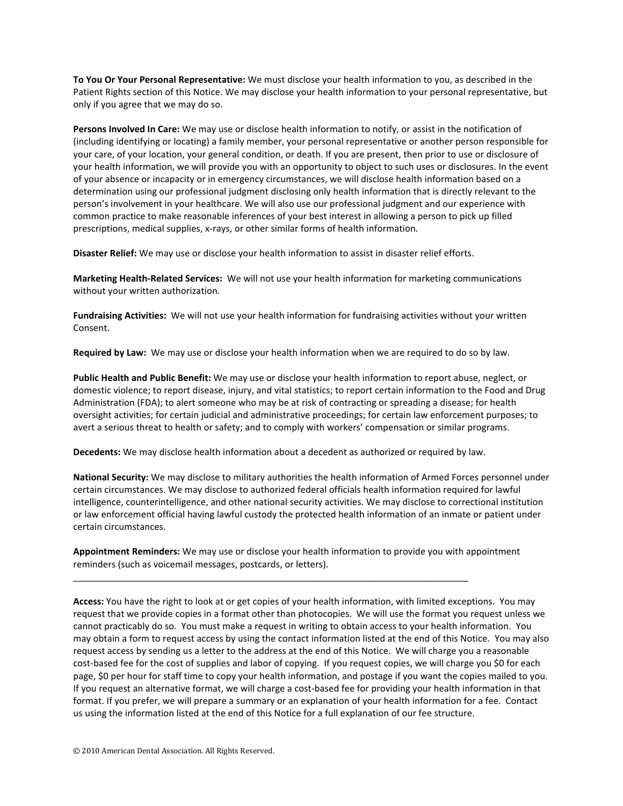To You Or Your Personal Representative: We must disclose your health information to you, as described in the Patient Rights section of this Notice. We may disclose your health information to your personal representative, but only if you agree that we may do so.

Persons Involved In Care: We may use or disclose health information to notify, or assist in the notification of (including identifying or locating) a family member, your personal representative or another person responsible for your care, of your location, your general condition, or death. If you are present, then prior to use or disclosure of your health information, we will provide you with an opportunity to object to such uses or disclosures. In the event of your absence or incapacity or in emergency circumstances, we will disclose health information based on a determination using our professional judgment disclosing only health information that is directly relevant to the person's involvement in your healthcare. We will also use our professional judgment and our experience with common practice to make reasonable inferences of your best interest in allowing a person to pick up filled prescriptions, medical supplies, x-rays, or other similar forms of health information.

**Disaster Relief:** We may use or disclose your health information to assist in disaster relief efforts.

Marketing Health-Related Services: We will not use your health information for marketing communications without your written authorization.

Fundraising Activities: We will not use your health information for fundraising activities without your written Consent.

Required by Law: We may use or disclose your health information when we are required to do so by law.

**Public Health and Public Benefit:** We may use or disclose your health information to report abuse, neglect, or domestic violence; to report disease, injury, and vital statistics; to report certain information to the Food and Drug Administration (FDA); to alert someone who may be at risk of contracting or spreading a disease; for health oversight activities; for certain judicial and administrative proceedings; for certain law enforcement purposes; to avert a serious threat to health or safety; and to comply with workers' compensation or similar programs.

Decedents: We may disclose health information about a decedent as authorized or required by law.

**National Security:** We may disclose to military authorities the health information of Armed Forces personnel under certain circumstances. We may disclose to authorized federal officials health information required for lawful intelligence, counterintelligence, and other national security activities. We may disclose to correctional institution or law enforcement official having lawful custody the protected health information of an inmate or patient under certain circumstances.

Appointment Reminders: We may use or disclose your health information to provide you with appointment reminders (such as voicemail messages, postcards, or letters).

\_\_\_\_\_\_\_\_\_\_\_\_\_\_\_\_\_\_\_\_\_\_\_\_\_\_\_\_\_\_\_\_\_\_\_\_\_\_\_\_\_\_\_\_\_\_\_\_\_\_\_\_\_\_\_\_\_\_\_\_\_\_\_\_\_\_\_\_\_\_\_\_\_\_\_\_\_\_

Access: You have the right to look at or get copies of your health information, with limited exceptions. You may request that we provide copies in a format other than photocopies. We will use the format you request unless we cannot practicably do so. You must make a request in writing to obtain access to your health information. You may obtain a form to request access by using the contact information listed at the end of this Notice. You may also request access by sending us a letter to the address at the end of this Notice. We will charge you a reasonable cost-based fee for the cost of supplies and labor of copying. If you request copies, we will charge you \$0 for each page, \$0 per hour for staff time to copy your health information, and postage if you want the copies mailed to you. If you request an alternative format, we will charge a cost-based fee for providing your health information in that format. If you prefer, we will prepare a summary or an explanation of your health information for a fee. Contact us using the information listed at the end of this Notice for a full explanation of our fee structure.